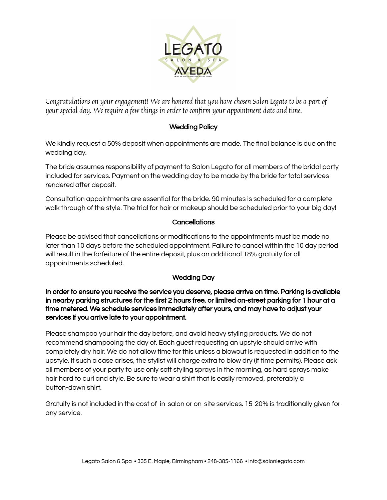

Congratulations on your engagement! We are honored that you have chosen Salon Legato to be a part of your special day. We require a few things in order to confirm your appointment date and time.

## Wedding Policy

We kindly request a 50% deposit when appointments are made. The final balance is due on the wedding day.

The bride assumes responsibility of payment to Salon Legato for all members of the bridal party included for services. Payment on the wedding day to be made by the bride for total services rendered after deposit.

Consultation appointments are essential for the bride. 90 minutes is scheduled for a complete walk through of the style. The trial for hair or makeup should be scheduled prior to your big day!

## **Cancellations**

Please be advised that cancellations or modifications to the appointments must be made no later than 10 days before the scheduled appointment. Failure to cancel within the 10 day period will result in the forfeiture of the entire deposit, plus an additional 18% gratuity for all appointments scheduled.

## Wedding Day

In order to ensure you receive the service you deserve, please arrive on time. Parking is available in nearby parking structures for the first 2 hours free, or limited on-street parking for 1 hour at a time metered. We schedule services immediately after yours, and may have to adjust your services if you arrive late to your appointment.

Please shampoo your hair the day before, and avoid heavy styling products. We do not recommend shampooing the day of. Each guest requesting an upstyle should arrive with completely dry hair. We do not allow time for this unless a blowout is requested in addition to the upstyle. If such a case arises, the stylist will charge extra to blow dry (if time permits). Please ask all members of your party to use only soft styling sprays in the morning, as hard sprays make hair hard to curl and style. Be sure to wear a shirt that is easily removed, preferably a button-down shirt.

Gratuity is not included in the cost of in-salon or on-site services. 15-20% is traditionally given for any service.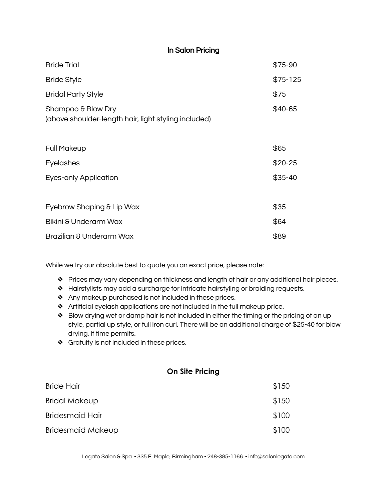| In Salon Pricing                                                           |           |
|----------------------------------------------------------------------------|-----------|
| <b>Bride Trial</b>                                                         | \$75-90   |
| <b>Bride Style</b>                                                         | $$75-125$ |
| <b>Bridal Party Style</b>                                                  | \$75      |
| Shampoo & Blow Dry<br>(above shoulder-length hair, light styling included) | \$40-65   |
| <b>Full Makeup</b>                                                         | \$65      |
| Eyelashes                                                                  | $$20-25$  |
| <b>Eyes-only Application</b>                                               | $$35-40$  |
| Eyebrow Shaping & Lip Wax                                                  | \$35      |
| Bikini & Underarm Wax                                                      | \$64      |
| Brazilian & Underarm Wax                                                   | \$89      |

While we try our absolute best to quote you an exact price, please note:

- ❖ Prices may vary depending on thickness and length of hair or any additional hair pieces.
- ❖ Hairstylists may add a surcharge for intricate hairstyling or braiding requests.
- ❖ Any makeup purchased is not included in these prices.
- ❖ Artificial eyelash applications are not included in the full makeup price.
- ❖ Blow drying wet or damp hair is not included in either the timing or the pricing of an up style, partial up style, or full iron curl. There will be an additional charge of \$25-40 for blow drying, if time permits.
- ❖ Gratuity is not included in these prices.

## **On Site Pricing**

| <b>Bride Hair</b>        | \$150 |
|--------------------------|-------|
| <b>Bridal Makeup</b>     | \$150 |
| <b>Bridesmaid Hair</b>   | \$100 |
| <b>Bridesmaid Makeup</b> | \$100 |